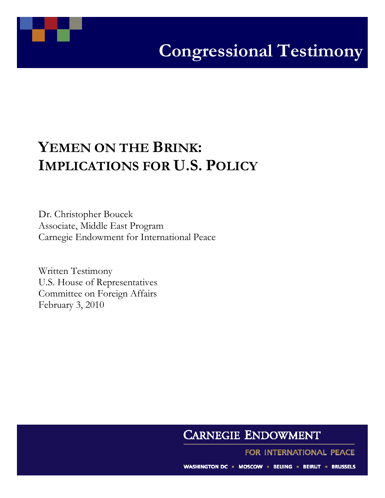# Congressional Testimony

## YEMEN ON THE BRINK: IMPLICATIONS FOR U.S. POLICY

Dr. Christopher Boucek Associate, Middle East Program Carnegie Endowment for International Peace

Written Testimony U.S. House of Representatives Committee on Foreign Affairs February 3, 2010

### **CARNEGIE ENDOWMENT**

FOR INTERNATIONAL PEACE

WASHINGTON DC = MOSCOW = BEIJING = BEIRUT = BRUSSELS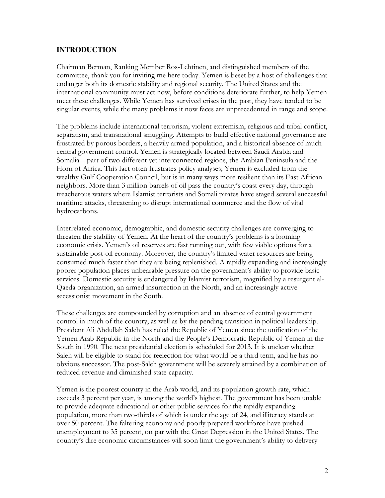#### **INTRODUCTION**

Chairman Berman, Ranking Member Ros-Lehtinen, and distinguished members of the committee, thank you for inviting me here today. Yemen is beset by a host of challenges that endanger both its domestic stability and regional security. The United States and the international community must act now, before conditions deteriorate further, to help Yemen meet these challenges. While Yemen has survived crises in the past, they have tended to be singular events, while the many problems it now faces are unprecedented in range and scope.

The problems include international terrorism, violent extremism, religious and tribal conflict, separatism, and transnational smuggling. Attempts to build effective national governance are frustrated by porous borders, a heavily armed population, and a historical absence of much central government control. Yemen is strategically located between Saudi Arabia and Somalia—part of two different yet interconnected regions, the Arabian Peninsula and the Horn of Africa. This fact often frustrates policy analyses; Yemen is excluded from the wealthy Gulf Cooperation Council, but is in many ways more resilient than its East African neighbors. More than 3 million barrels of oil pass the country's coast every day, through treacherous waters where Islamist terrorists and Somali pirates have staged several successful maritime attacks, threatening to disrupt international commerce and the flow of vital hydrocarbons.

Interrelated economic, demographic, and domestic security challenges are converging to threaten the stability of Yemen. At the heart of the country's problems is a looming economic crisis. Yemen's oil reserves are fast running out, with few viable options for a sustainable post-oil economy. Moreover, the country's limited water resources are being consumed much faster than they are being replenished. A rapidly expanding and increasingly poorer population places unbearable pressure on the government's ability to provide basic services. Domestic security is endangered by Islamist terrorism, magnified by a resurgent al-Qaeda organization, an armed insurrection in the North, and an increasingly active secessionist movement in the South.

These challenges are compounded by corruption and an absence of central government control in much of the country, as well as by the pending transition in political leadership. President Ali Abdullah Saleh has ruled the Republic of Yemen since the unification of the Yemen Arab Republic in the North and the People's Democratic Republic of Yemen in the South in 1990. The next presidential election is scheduled for 2013. It is unclear whether Saleh will be eligible to stand for reelection for what would be a third term, and he has no obvious successor. The post-Saleh government will be severely strained by a combination of reduced revenue and diminished state capacity.

Yemen is the poorest country in the Arab world, and its population growth rate, which exceeds 3 percent per year, is among the world's highest. The government has been unable to provide adequate educational or other public services for the rapidly expanding population, more than two-thirds of which is under the age of 24, and illiteracy stands at over 50 percent. The faltering economy and poorly prepared workforce have pushed unemployment to 35 percent, on par with the Great Depression in the United States. The country's dire economic circumstances will soon limit the government's ability to delivery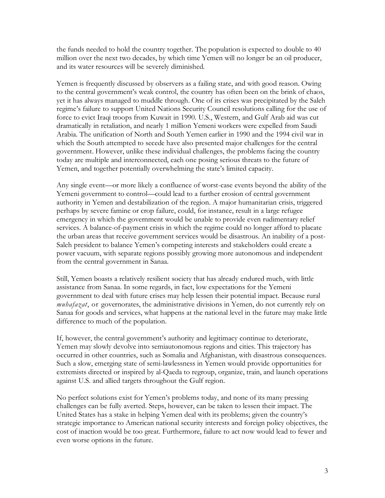the funds needed to hold the country together. The population is expected to double to 40 million over the next two decades, by which time Yemen will no longer be an oil producer, and its water resources will be severely diminished.

Yemen is frequently discussed by observers as a failing state, and with good reason. Owing to the central government's weak control, the country has often been on the brink of chaos, yet it has always managed to muddle through. One of its crises was precipitated by the Saleh regime's failure to support United Nations Security Council resolutions calling for the use of force to evict Iraqi troops from Kuwait in 1990. U.S., Western, and Gulf Arab aid was cut dramatically in retaliation, and nearly 1 million Yemeni workers were expelled from Saudi Arabia. The unification of North and South Yemen earlier in 1990 and the 1994 civil war in which the South attempted to secede have also presented major challenges for the central government. However, unlike these individual challenges, the problems facing the country today are multiple and interconnected, each one posing serious threats to the future of Yemen, and together potentially overwhelming the state's limited capacity.

Any single event—or more likely a confluence of worst-case events beyond the ability of the Yemeni government to control—could lead to a further erosion of central government authority in Yemen and destabilization of the region. A major humanitarian crisis, triggered perhaps by severe famine or crop failure, could, for instance, result in a large refugee emergency in which the government would be unable to provide even rudimentary relief services. A balance-of-payment crisis in which the regime could no longer afford to placate the urban areas that receive government services would be disastrous. An inability of a post-Saleh president to balance Yemen's competing interests and stakeholders could create a power vacuum, with separate regions possibly growing more autonomous and independent from the central government in Sanaa.

Still, Yemen boasts a relatively resilient society that has already endured much, with little assistance from Sanaa. In some regards, in fact, low expectations for the Yemeni government to deal with future crises may help lessen their potential impact. Because rural muhafazat, or governorates, the administrative divisions in Yemen, do not currently rely on Sanaa for goods and services, what happens at the national level in the future may make little difference to much of the population.

If, however, the central government's authority and legitimacy continue to deteriorate, Yemen may slowly devolve into semiautonomous regions and cities. This trajectory has occurred in other countries, such as Somalia and Afghanistan, with disastrous consequences. Such a slow, emerging state of semi-lawlessness in Yemen would provide opportunities for extremists directed or inspired by al-Qaeda to regroup, organize, train, and launch operations against U.S. and allied targets throughout the Gulf region.

No perfect solutions exist for Yemen's problems today, and none of its many pressing challenges can be fully averted. Steps, however, can be taken to lessen their impact. The United States has a stake in helping Yemen deal with its problems; given the country's strategic importance to American national security interests and foreign policy objectives, the cost of inaction would be too great. Furthermore, failure to act now would lead to fewer and even worse options in the future.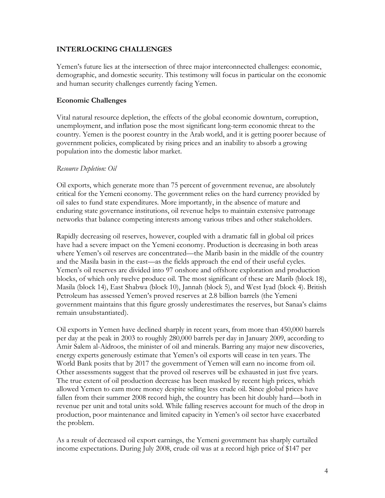#### INTERLOCKING CHALLENGES

Yemen's future lies at the intersection of three major interconnected challenges: economic, demographic, and domestic security. This testimony will focus in particular on the economic and human security challenges currently facing Yemen.

#### Economic Challenges

Vital natural resource depletion, the effects of the global economic downturn, corruption, unemployment, and inflation pose the most significant long-term economic threat to the country. Yemen is the poorest country in the Arab world, and it is getting poorer because of government policies, complicated by rising prices and an inability to absorb a growing population into the domestic labor market.

#### Resource Depletion: Oil

Oil exports, which generate more than 75 percent of government revenue, are absolutely critical for the Yemeni economy. The government relies on the hard currency provided by oil sales to fund state expenditures. More importantly, in the absence of mature and enduring state governance institutions, oil revenue helps to maintain extensive patronage networks that balance competing interests among various tribes and other stakeholders.

Rapidly decreasing oil reserves, however, coupled with a dramatic fall in global oil prices have had a severe impact on the Yemeni economy. Production is decreasing in both areas where Yemen's oil reserves are concentrated—the Marib basin in the middle of the country and the Masila basin in the east—as the fields approach the end of their useful cycles. Yemen's oil reserves are divided into 97 onshore and offshore exploration and production blocks, of which only twelve produce oil. The most significant of these are Marib (block 18), Masila (block 14), East Shabwa (block 10), Jannah (block 5), and West Iyad (block 4). British Petroleum has assessed Yemen's proved reserves at 2.8 billion barrels (the Yemeni government maintains that this figure grossly underestimates the reserves, but Sanaa's claims remain unsubstantiated).

Oil exports in Yemen have declined sharply in recent years, from more than 450,000 barrels per day at the peak in 2003 to roughly 280,000 barrels per day in January 2009, according to Amir Salem al-Aidroos, the minister of oil and minerals. Barring any major new discoveries, energy experts generously estimate that Yemen's oil exports will cease in ten years. The World Bank posits that by 2017 the government of Yemen will earn no income from oil. Other assessments suggest that the proved oil reserves will be exhausted in just five years. The true extent of oil production decrease has been masked by recent high prices, which allowed Yemen to earn more money despite selling less crude oil. Since global prices have fallen from their summer 2008 record high, the country has been hit doubly hard—both in revenue per unit and total units sold. While falling reserves account for much of the drop in production, poor maintenance and limited capacity in Yemen's oil sector have exacerbated the problem.

As a result of decreased oil export earnings, the Yemeni government has sharply curtailed income expectations. During July 2008, crude oil was at a record high price of \$147 per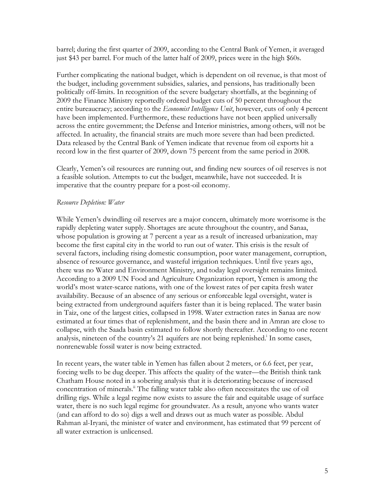barrel; during the first quarter of 2009, according to the Central Bank of Yemen, it averaged just \$43 per barrel. For much of the latter half of 2009, prices were in the high \$60s.

Further complicating the national budget, which is dependent on oil revenue, is that most of the budget, including government subsidies, salaries, and pensions, has traditionally been politically off-limits. In recognition of the severe budgetary shortfalls, at the beginning of 2009 the Finance Ministry reportedly ordered budget cuts of 50 percent throughout the entire bureaucracy; according to the Economist Intelligence Unit, however, cuts of only 4 percent have been implemented. Furthermore, these reductions have not been applied universally across the entire government; the Defense and Interior ministries, among others, will not be affected. In actuality, the financial straits are much more severe than had been predicted. Data released by the Central Bank of Yemen indicate that revenue from oil exports hit a record low in the first quarter of 2009, down 75 percent from the same period in 2008.

Clearly, Yemen's oil resources are running out, and finding new sources of oil reserves is not a feasible solution. Attempts to cut the budget, meanwhile, have not succeeded. It is imperative that the country prepare for a post-oil economy.

#### Resource Depletion: Water

While Yemen's dwindling oil reserves are a major concern, ultimately more worrisome is the rapidly depleting water supply. Shortages are acute throughout the country, and Sanaa, whose population is growing at 7 percent a year as a result of increased urbanization, may become the first capital city in the world to run out of water. This crisis is the result of several factors, including rising domestic consumption, poor water management, corruption, absence of resource governance, and wasteful irrigation techniques. Until five years ago, there was no Water and Environment Ministry, and today legal oversight remains limited. According to a 2009 UN Food and Agriculture Organization report, Yemen is among the world's most water-scarce nations, with one of the lowest rates of per capita fresh water availability. Because of an absence of any serious or enforceable legal oversight, water is being extracted from underground aquifers faster than it is being replaced. The water basin in Taiz, one of the largest cities, collapsed in 1998. Water extraction rates in Sanaa are now estimated at four times that of replenishment, and the basin there and in Amran are close to collapse, with the Saada basin estimated to follow shortly thereafter. According to one recent analysis, nineteen of the country's 21 aquifers are not being replenished.<sup>i</sup> In some cases, nonrenewable fossil water is now being extracted.

In recent years, the water table in Yemen has fallen about 2 meters, or 6.6 feet, per year, forcing wells to be dug deeper. This affects the quality of the water—the British think tank Chatham House noted in a sobering analysis that it is deteriorating because of increased concentration of minerals.<sup>ii</sup> The falling water table also often necessitates the use of oil drilling rigs. While a legal regime now exists to assure the fair and equitable usage of surface water, there is no such legal regime for groundwater. As a result, anyone who wants water (and can afford to do so) digs a well and draws out as much water as possible. Abdul Rahman al-Iryani, the minister of water and environment, has estimated that 99 percent of all water extraction is unlicensed.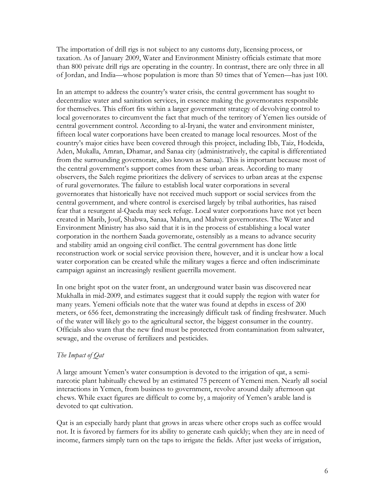The importation of drill rigs is not subject to any customs duty, licensing process, or taxation. As of January 2009, Water and Environment Ministry officials estimate that more than 800 private drill rigs are operating in the country. In contrast, there are only three in all of Jordan, and India—whose population is more than 50 times that of Yemen—has just 100.

In an attempt to address the country's water crisis, the central government has sought to decentralize water and sanitation services, in essence making the governorates responsible for themselves. This effort fits within a larger government strategy of devolving control to local governorates to circumvent the fact that much of the territory of Yemen lies outside of central government control. According to al-Iryani, the water and environment minister, fifteen local water corporations have been created to manage local resources. Most of the country's major cities have been covered through this project, including Ibb, Taiz, Hodeida, Aden, Mukalla, Amran, Dhamar, and Sanaa city (administratively, the capital is differentiated from the surrounding governorate, also known as Sanaa). This is important because most of the central government's support comes from these urban areas. According to many observers, the Saleh regime prioritizes the delivery of services to urban areas at the expense of rural governorates. The failure to establish local water corporations in several governorates that historically have not received much support or social services from the central government, and where control is exercised largely by tribal authorities, has raised fear that a resurgent al-Qaeda may seek refuge. Local water corporations have not yet been created in Marib, Jouf, Shabwa, Sanaa, Mahra, and Mahwit governorates. The Water and Environment Ministry has also said that it is in the process of establishing a local water corporation in the northern Saada governorate, ostensibly as a means to advance security and stability amid an ongoing civil conflict. The central government has done little reconstruction work or social service provision there, however, and it is unclear how a local water corporation can be created while the military wages a fierce and often indiscriminate campaign against an increasingly resilient guerrilla movement.

In one bright spot on the water front, an underground water basin was discovered near Mukhalla in mid-2009, and estimates suggest that it could supply the region with water for many years. Yemeni officials note that the water was found at depths in excess of 200 meters, or 656 feet, demonstrating the increasingly difficult task of finding freshwater. Much of the water will likely go to the agricultural sector, the biggest consumer in the country. Officials also warn that the new find must be protected from contamination from saltwater, sewage, and the overuse of fertilizers and pesticides.

#### The Impact of Qat

A large amount Yemen's water consumption is devoted to the irrigation of qat, a seminarcotic plant habitually chewed by an estimated 75 percent of Yemeni men. Nearly all social interactions in Yemen, from business to government, revolve around daily afternoon qat chews. While exact figures are difficult to come by, a majority of Yemen's arable land is devoted to qat cultivation.

Qat is an especially hardy plant that grows in areas where other crops such as coffee would not. It is favored by farmers for its ability to generate cash quickly; when they are in need of income, farmers simply turn on the taps to irrigate the fields. After just weeks of irrigation,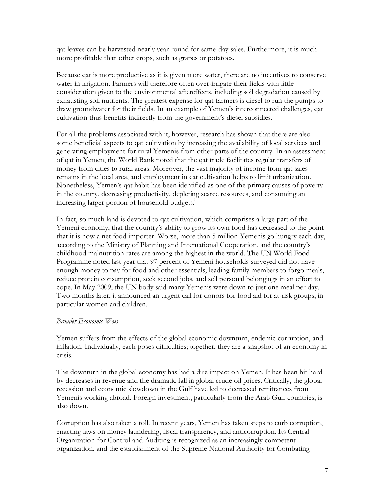qat leaves can be harvested nearly year-round for same-day sales. Furthermore, it is much more profitable than other crops, such as grapes or potatoes.

Because qat is more productive as it is given more water, there are no incentives to conserve water in irrigation. Farmers will therefore often over-irrigate their fields with little consideration given to the environmental aftereffects, including soil degradation caused by exhausting soil nutrients. The greatest expense for qat farmers is diesel to run the pumps to draw groundwater for their fields. In an example of Yemen's interconnected challenges, qat cultivation thus benefits indirectly from the government's diesel subsidies.

For all the problems associated with it, however, research has shown that there are also some beneficial aspects to qat cultivation by increasing the availability of local services and generating employment for rural Yemenis from other parts of the country. In an assessment of qat in Yemen, the World Bank noted that the qat trade facilitates regular transfers of money from cities to rural areas. Moreover, the vast majority of income from qat sales remains in the local area, and employment in qat cultivation helps to limit urbanization. Nonetheless, Yemen's qat habit has been identified as one of the primary causes of poverty in the country, decreasing productivity, depleting scarce resources, and consuming an increasing larger portion of household budgets.<sup>iii</sup>

In fact, so much land is devoted to qat cultivation, which comprises a large part of the Yemeni economy, that the country's ability to grow its own food has decreased to the point that it is now a net food importer. Worse, more than 5 million Yemenis go hungry each day, according to the Ministry of Planning and International Cooperation, and the country's childhood malnutrition rates are among the highest in the world. The UN World Food Programme noted last year that 97 percent of Yemeni households surveyed did not have enough money to pay for food and other essentials, leading family members to forgo meals, reduce protein consumption, seek second jobs, and sell personal belongings in an effort to cope. In May 2009, the UN body said many Yemenis were down to just one meal per day. Two months later, it announced an urgent call for donors for food aid for at-risk groups, in particular women and children.

#### Broader Economic Woes

Yemen suffers from the effects of the global economic downturn, endemic corruption, and inflation. Individually, each poses difficulties; together, they are a snapshot of an economy in crisis.

The downturn in the global economy has had a dire impact on Yemen. It has been hit hard by decreases in revenue and the dramatic fall in global crude oil prices. Critically, the global recession and economic slowdown in the Gulf have led to decreased remittances from Yemenis working abroad. Foreign investment, particularly from the Arab Gulf countries, is also down.

Corruption has also taken a toll. In recent years, Yemen has taken steps to curb corruption, enacting laws on money laundering, fiscal transparency, and anticorruption. Its Central Organization for Control and Auditing is recognized as an increasingly competent organization, and the establishment of the Supreme National Authority for Combating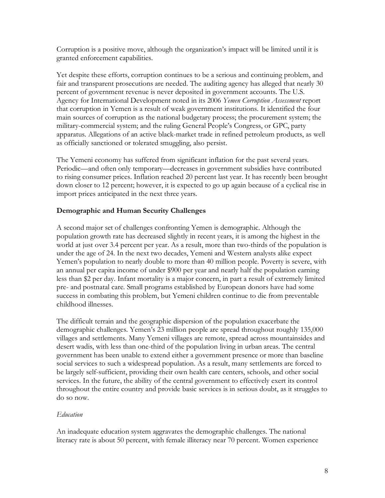Corruption is a positive move, although the organization's impact will be limited until it is granted enforcement capabilities.

Yet despite these efforts, corruption continues to be a serious and continuing problem, and fair and transparent prosecutions are needed. The auditing agency has alleged that nearly 30 percent of government revenue is never deposited in government accounts. The U.S. Agency for International Development noted in its 2006 Yemen Corruption Assessment report that corruption in Yemen is a result of weak government institutions. It identified the four main sources of corruption as the national budgetary process; the procurement system; the military-commercial system; and the ruling General People's Congress, or GPC, party apparatus. Allegations of an active black-market trade in refined petroleum products, as well as officially sanctioned or tolerated smuggling, also persist.

The Yemeni economy has suffered from significant inflation for the past several years. Periodic—and often only temporary—decreases in government subsidies have contributed to rising consumer prices. Inflation reached 20 percent last year. It has recently been brought down closer to 12 percent; however, it is expected to go up again because of a cyclical rise in import prices anticipated in the next three years.

#### Demographic and Human Security Challenges

A second major set of challenges confronting Yemen is demographic. Although the population growth rate has decreased slightly in recent years, it is among the highest in the world at just over 3.4 percent per year. As a result, more than two-thirds of the population is under the age of 24. In the next two decades, Yemeni and Western analysts alike expect Yemen's population to nearly double to more than 40 million people. Poverty is severe, with an annual per capita income of under \$900 per year and nearly half the population earning less than \$2 per day. Infant mortality is a major concern, in part a result of extremely limited pre- and postnatal care. Small programs established by European donors have had some success in combating this problem, but Yemeni children continue to die from preventable childhood illnesses.

The difficult terrain and the geographic dispersion of the population exacerbate the demographic challenges. Yemen's 23 million people are spread throughout roughly 135,000 villages and settlements. Many Yemeni villages are remote, spread across mountainsides and desert wadis, with less than one-third of the population living in urban areas. The central government has been unable to extend either a government presence or more than baseline social services to such a widespread population. As a result, many settlements are forced to be largely self-sufficient, providing their own health care centers, schools, and other social services. In the future, the ability of the central government to effectively exert its control throughout the entire country and provide basic services is in serious doubt, as it struggles to do so now.

#### Education

An inadequate education system aggravates the demographic challenges. The national literacy rate is about 50 percent, with female illiteracy near 70 percent. Women experience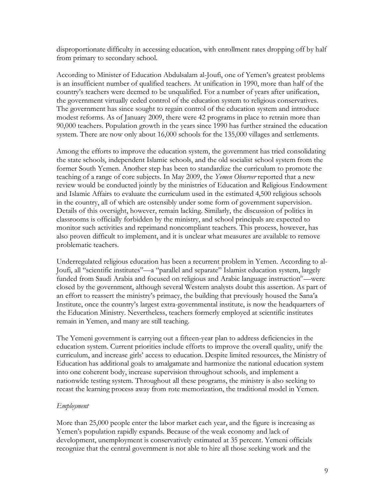disproportionate difficulty in accessing education, with enrollment rates dropping off by half from primary to secondary school.

According to Minister of Education Abdulsalam al-Joufi, one of Yemen's greatest problems is an insufficient number of qualified teachers. At unification in 1990, more than half of the country's teachers were deemed to be unqualified. For a number of years after unification, the government virtually ceded control of the education system to religious conservatives. The government has since sought to regain control of the education system and introduce modest reforms. As of January 2009, there were 42 programs in place to retrain more than 90,000 teachers. Population growth in the years since 1990 has further strained the education system. There are now only about 16,000 schools for the 135,000 villages and settlements.

Among the efforts to improve the education system, the government has tried consolidating the state schools, independent Islamic schools, and the old socialist school system from the former South Yemen. Another step has been to standardize the curriculum to promote the teaching of a range of core subjects. In May 2009, the *Yemen Observer* reported that a new review would be conducted jointly by the ministries of Education and Religious Endowment and Islamic Affairs to evaluate the curriculum used in the estimated 4,500 religious schools in the country, all of which are ostensibly under some form of government supervision. Details of this oversight, however, remain lacking. Similarly, the discussion of politics in classrooms is officially forbidden by the ministry, and school principals are expected to monitor such activities and reprimand noncompliant teachers. This process, however, has also proven difficult to implement, and it is unclear what measures are available to remove problematic teachers.

Underregulated religious education has been a recurrent problem in Yemen. According to al-Joufi, all "scientific institutes"—a "parallel and separate" Islamist education system, largely funded from Saudi Arabia and focused on religious and Arabic language instruction<sup>iv</sup>—were closed by the government, although several Western analysts doubt this assertion. As part of an effort to reassert the ministry's primacy, the building that previously housed the Sana'a Institute, once the country's largest extra-governmental institute, is now the headquarters of the Education Ministry. Nevertheless, teachers formerly employed at scientific institutes remain in Yemen, and many are still teaching.

The Yemeni government is carrying out a fifteen-year plan to address deficiencies in the education system. Current priorities include efforts to improve the overall quality, unify the curriculum, and increase girls' access to education. Despite limited resources, the Ministry of Education has additional goals to amalgamate and harmonize the national education system into one coherent body, increase supervision throughout schools, and implement a nationwide testing system. Throughout all these programs, the ministry is also seeking to recast the learning process away from rote memorization, the traditional model in Yemen.

#### Employment

More than 25,000 people enter the labor market each year, and the figure is increasing as Yemen's population rapidly expands. Because of the weak economy and lack of development, unemployment is conservatively estimated at 35 percent. Yemeni officials recognize that the central government is not able to hire all those seeking work and the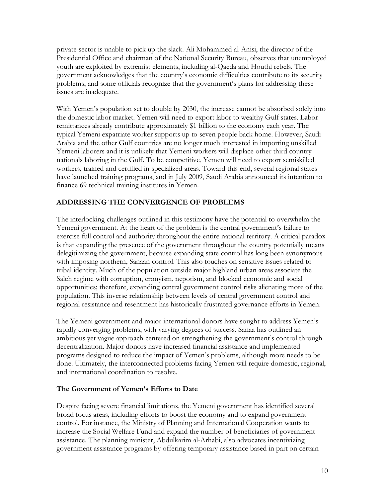private sector is unable to pick up the slack. Ali Mohammed al-Anisi, the director of the Presidential Office and chairman of the National Security Bureau, observes that unemployed youth are exploited by extremist elements, including al-Qaeda and Houthi rebels. The government acknowledges that the country's economic difficulties contribute to its security problems, and some officials recognize that the government's plans for addressing these issues are inadequate.

With Yemen's population set to double by 2030, the increase cannot be absorbed solely into the domestic labor market. Yemen will need to export labor to wealthy Gulf states. Labor remittances already contribute approximately \$1 billion to the economy each year. The typical Yemeni expatriate worker supports up to seven people back home. However, Saudi Arabia and the other Gulf countries are no longer much interested in importing unskilled Yemeni laborers and it is unlikely that Yemeni workers will displace other third country nationals laboring in the Gulf. To be competitive, Yemen will need to export semiskilled workers, trained and certified in specialized areas. Toward this end, several regional states have launched training programs, and in July 2009, Saudi Arabia announced its intention to finance 69 technical training institutes in Yemen.

#### ADDRESSING THE CONVERGENCE OF PROBLEMS

The interlocking challenges outlined in this testimony have the potential to overwhelm the Yemeni government. At the heart of the problem is the central government's failure to exercise full control and authority throughout the entire national territory. A critical paradox is that expanding the presence of the government throughout the country potentially means delegitimizing the government, because expanding state control has long been synonymous with imposing northern, Sanaan control. This also touches on sensitive issues related to tribal identity. Much of the population outside major highland urban areas associate the Saleh regime with corruption, cronyism, nepotism, and blocked economic and social opportunities; therefore, expanding central government control risks alienating more of the population. This inverse relationship between levels of central government control and regional resistance and resentment has historically frustrated governance efforts in Yemen.

The Yemeni government and major international donors have sought to address Yemen's rapidly converging problems, with varying degrees of success. Sanaa has outlined an ambitious yet vague approach centered on strengthening the government's control through decentralization. Major donors have increased financial assistance and implemented programs designed to reduce the impact of Yemen's problems, although more needs to be done. Ultimately, the interconnected problems facing Yemen will require domestic, regional, and international coordination to resolve.

#### The Government of Yemen's Efforts to Date

Despite facing severe financial limitations, the Yemeni government has identified several broad focus areas, including efforts to boost the economy and to expand government control. For instance, the Ministry of Planning and International Cooperation wants to increase the Social Welfare Fund and expand the number of beneficiaries of government assistance. The planning minister, Abdulkarim al-Arhabi, also advocates incentivizing government assistance programs by offering temporary assistance based in part on certain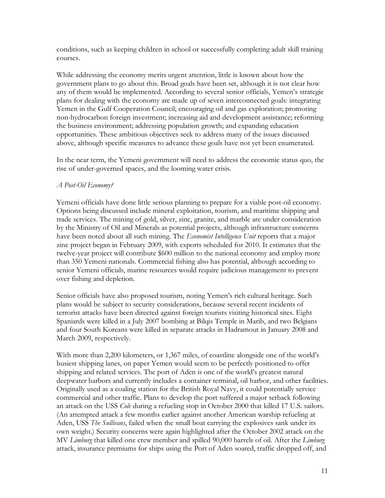conditions, such as keeping children in school or successfully completing adult skill training courses.

While addressing the economy merits urgent attention, little is known about how the government plans to go about this. Broad goals have been set, although it is not clear how any of them would be implemented. According to several senior officials, Yemen's strategic plans for dealing with the economy are made up of seven interconnected goals: integrating Yemen in the Gulf Cooperation Council; encouraging oil and gas exploration; promoting non-hydrocarbon foreign investment; increasing aid and development assistance; reforming the business environment; addressing population growth; and expanding education opportunities. These ambitious objectives seek to address many of the issues discussed above, although specific measures to advance these goals have not yet been enumerated.

In the near term, the Yemeni government will need to address the economic status quo, the rise of under-governed spaces, and the looming water crisis.

#### A Post-Oil Economy?

Yemeni officials have done little serious planning to prepare for a viable post-oil economy. Options being discussed include mineral exploitation, tourism, and maritime shipping and trade services. The mining of gold, silver, zinc, granite, and marble are under consideration by the Ministry of Oil and Minerals as potential projects, although infrastructure concerns have been noted about all such mining. The *Economist Intelligence Unit* reports that a major zinc project began in February 2009, with exports scheduled for 2010. It estimates that the twelve-year project will contribute \$600 million to the national economy and employ more than 350 Yemeni nationals. Commercial fishing also has potential, although according to senior Yemeni officials, marine resources would require judicious management to prevent over fishing and depletion.

Senior officials have also proposed tourism, noting Yemen's rich cultural heritage. Such plans would be subject to security considerations, because several recent incidents of terrorist attacks have been directed against foreign tourists visiting historical sites. Eight Spaniards were killed in a July 2007 bombing at Bilqis Temple in Marib, and two Belgians and four South Koreans were killed in separate attacks in Hadramout in January 2008 and March 2009, respectively.

With more than 2,200 kilometers, or 1,367 miles, of coastline alongside one of the world's busiest shipping lanes, on paper Yemen would seem to be perfectly positioned to offer shipping and related services. The port of Aden is one of the world's greatest natural deepwater harbors and currently includes a container terminal, oil harbor, and other facilities. Originally used as a coaling station for the British Royal Navy, it could potentially service commercial and other traffic. Plans to develop the port suffered a major setback following an attack on the USS Cole during a refueling stop in October 2000 that killed 17 U.S. sailors. (An attempted attack a few months earlier against another American warship refueling at Aden, USS The Sullivans, failed when the small boat carrying the explosives sank under its own weight.) Security concerns were again highlighted after the October 2002 attack on the MV Limburg that killed one crew member and spilled 90,000 barrels of oil. After the Limburg attack, insurance premiums for ships using the Port of Aden soared, traffic dropped off, and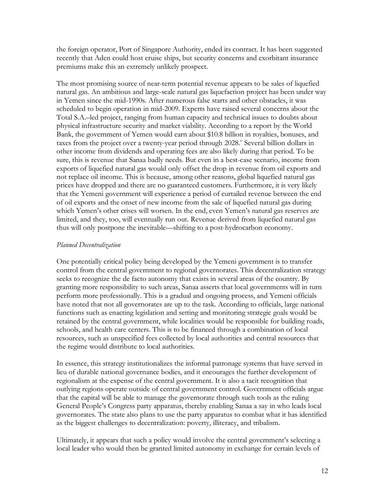the foreign operator, Port of Singapore Authority, ended its contract. It has been suggested recently that Aden could host cruise ships, but security concerns and exorbitant insurance premiums make this an extremely unlikely prospect.

The most promising source of near-term potential revenue appears to be sales of liquefied natural gas. An ambitious and large-scale natural gas liquefaction project has been under way in Yemen since the mid-1990s. After numerous false starts and other obstacles, it was scheduled to begin operation in mid-2009. Experts have raised several concerns about the Total S.A.–led project, ranging from human capacity and technical issues to doubts about physical infrastructure security and market viability. According to a report by the World Bank, the government of Yemen would earn about \$10.8 billion in royalties, bonuses, and taxes from the project over a twenty-year period through 2028.<sup>V</sup> Several billion dollars in other income from dividends and operating fees are also likely during that period. To be sure, this is revenue that Sanaa badly needs. But even in a best-case scenario, income from exports of liquefied natural gas would only offset the drop in revenue from oil exports and not replace oil income. This is because, among other reasons, global liquefied natural gas prices have dropped and there are no guaranteed customers. Furthermore, it is very likely that the Yemeni government will experience a period of curtailed revenue between the end of oil exports and the onset of new income from the sale of liquefied natural gas during which Yemen's other crises will worsen. In the end, even Yemen's natural gas reserves are limited, and they, too, will eventually run out. Revenue derived from liquefied natural gas thus will only postpone the inevitable—shifting to a post-hydrocarbon economy.

#### Planned Decentralization

One potentially critical policy being developed by the Yemeni government is to transfer control from the central government to regional governorates. This decentralization strategy seeks to recognize the de facto autonomy that exists in several areas of the country. By granting more responsibility to such areas, Sanaa asserts that local governments will in turn perform more professionally. This is a gradual and ongoing process, and Yemeni officials have noted that not all governorates are up to the task. According to officials, large national functions such as enacting legislation and setting and monitoring strategic goals would be retained by the central government, while localities would be responsible for building roads, schools, and health care centers. This is to be financed through a combination of local resources, such as unspecified fees collected by local authorities and central resources that the regime would distribute to local authorities.

In essence, this strategy institutionalizes the informal patronage systems that have served in lieu of durable national governance bodies, and it encourages the further development of regionalism at the expense of the central government. It is also a tacit recognition that outlying regions operate outside of central government control. Government officials argue that the capital will be able to manage the governorate through such tools as the ruling General People's Congress party apparatus, thereby enabling Sanaa a say in who leads local governorates. The state also plans to use the party apparatus to combat what it has identified as the biggest challenges to decentralization: poverty, illiteracy, and tribalism.

Ultimately, it appears that such a policy would involve the central government's selecting a local leader who would then be granted limited autonomy in exchange for certain levels of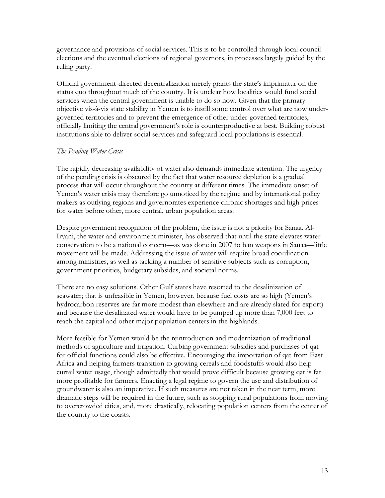governance and provisions of social services. This is to be controlled through local council elections and the eventual elections of regional governors, in processes largely guided by the ruling party.

Official government-directed decentralization merely grants the state's imprimatur on the status quo throughout much of the country. It is unclear how localities would fund social services when the central government is unable to do so now. Given that the primary objective vis-à-vis state stability in Yemen is to instill some control over what are now undergoverned territories and to prevent the emergence of other under-governed territories, officially limiting the central government's role is counterproductive at best. Building robust institutions able to deliver social services and safeguard local populations is essential.

#### The Pending Water Crisis

The rapidly decreasing availability of water also demands immediate attention. The urgency of the pending crisis is obscured by the fact that water resource depletion is a gradual process that will occur throughout the country at different times. The immediate onset of Yemen's water crisis may therefore go unnoticed by the regime and by international policy makers as outlying regions and governorates experience chronic shortages and high prices for water before other, more central, urban population areas.

Despite government recognition of the problem, the issue is not a priority for Sanaa. Al-Iryani, the water and environment minister, has observed that until the state elevates water conservation to be a national concern—as was done in 2007 to ban weapons in Sanaa—little movement will be made. Addressing the issue of water will require broad coordination among ministries, as well as tackling a number of sensitive subjects such as corruption, government priorities, budgetary subsides, and societal norms.

There are no easy solutions. Other Gulf states have resorted to the desalinization of seawater; that is unfeasible in Yemen, however, because fuel costs are so high (Yemen's hydrocarbon reserves are far more modest than elsewhere and are already slated for export) and because the desalinated water would have to be pumped up more than 7,000 feet to reach the capital and other major population centers in the highlands.

More feasible for Yemen would be the reintroduction and modernization of traditional methods of agriculture and irrigation. Curbing government subsidies and purchases of qat for official functions could also be effective. Encouraging the importation of qat from East Africa and helping farmers transition to growing cereals and foodstuffs would also help curtail water usage, though admittedly that would prove difficult because growing qat is far more profitable for farmers. Enacting a legal regime to govern the use and distribution of groundwater is also an imperative. If such measures are not taken in the near term, more dramatic steps will be required in the future, such as stopping rural populations from moving to overcrowded cities, and, more drastically, relocating population centers from the center of the country to the coasts.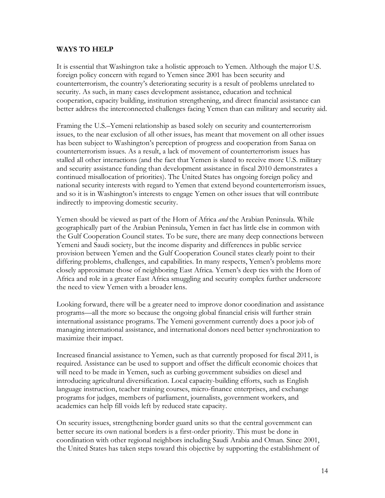#### WAYS TO HELP

It is essential that Washington take a holistic approach to Yemen. Although the major U.S. foreign policy concern with regard to Yemen since 2001 has been security and counterterrorism, the country's deteriorating security is a result of problems unrelated to security. As such, in many cases development assistance, education and technical cooperation, capacity building, institution strengthening, and direct financial assistance can better address the interconnected challenges facing Yemen than can military and security aid.

Framing the U.S.–Yemeni relationship as based solely on security and counterterrorism issues, to the near exclusion of all other issues, has meant that movement on all other issues has been subject to Washington's perception of progress and cooperation from Sanaa on counterterrorism issues. As a result, a lack of movement of counterterrorism issues has stalled all other interactions (and the fact that Yemen is slated to receive more U.S. military and security assistance funding than development assistance in fiscal 2010 demonstrates a continued misallocation of priorities). The United States has ongoing foreign policy and national security interests with regard to Yemen that extend beyond counterterrorism issues, and so it is in Washington's interests to engage Yemen on other issues that will contribute indirectly to improving domestic security.

Yemen should be viewed as part of the Horn of Africa *and* the Arabian Peninsula. While geographically part of the Arabian Peninsula, Yemen in fact has little else in common with the Gulf Cooperation Council states. To be sure, there are many deep connections between Yemeni and Saudi society, but the income disparity and differences in public service provision between Yemen and the Gulf Cooperation Council states clearly point to their differing problems, challenges, and capabilities. In many respects, Yemen's problems more closely approximate those of neighboring East Africa. Yemen's deep ties with the Horn of Africa and role in a greater East Africa smuggling and security complex further underscore the need to view Yemen with a broader lens.

Looking forward, there will be a greater need to improve donor coordination and assistance programs—all the more so because the ongoing global financial crisis will further strain international assistance programs. The Yemeni government currently does a poor job of managing international assistance, and international donors need better synchronization to maximize their impact.

Increased financial assistance to Yemen, such as that currently proposed for fiscal 2011, is required. Assistance can be used to support and offset the difficult economic choices that will need to be made in Yemen, such as curbing government subsidies on diesel and introducing agricultural diversification. Local capacity-building efforts, such as English language instruction, teacher training courses, micro-finance enterprises, and exchange programs for judges, members of parliament, journalists, government workers, and academics can help fill voids left by reduced state capacity.

On security issues, strengthening border guard units so that the central government can better secure its own national borders is a first-order priority. This must be done in coordination with other regional neighbors including Saudi Arabia and Oman. Since 2001, the United States has taken steps toward this objective by supporting the establishment of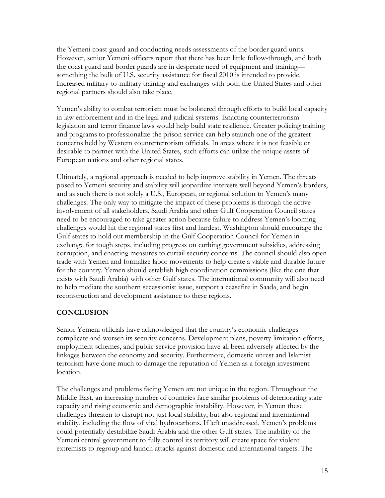the Yemeni coast guard and conducting needs assessments of the border guard units. However, senior Yemeni officers report that there has been little follow-through, and both the coast guard and border guards are in desperate need of equipment and training something the bulk of U.S. security assistance for fiscal 2010 is intended to provide. Increased military-to-military training and exchanges with both the United States and other regional partners should also take place.

Yemen's ability to combat terrorism must be bolstered through efforts to build local capacity in law enforcement and in the legal and judicial systems. Enacting counterterrorism legislation and terror finance laws would help build state resilience. Greater policing training and programs to professionalize the prison service can help staunch one of the greatest concerns held by Western counterterrorism officials. In areas where it is not feasible or desirable to partner with the United States, such efforts can utilize the unique assets of European nations and other regional states.

Ultimately, a regional approach is needed to help improve stability in Yemen. The threats posed to Yemeni security and stability will jeopardize interests well beyond Yemen's borders, and as such there is not solely a U.S., European, or regional solution to Yemen's many challenges. The only way to mitigate the impact of these problems is through the active involvement of all stakeholders. Saudi Arabia and other Gulf Cooperation Council states need to be encouraged to take greater action because failure to address Yemen's looming challenges would hit the regional states first and hardest. Washington should encourage the Gulf states to hold out membership in the Gulf Cooperation Council for Yemen in exchange for tough steps, including progress on curbing government subsidies, addressing corruption, and enacting measures to curtail security concerns. The council should also open trade with Yemen and formalize labor movements to help create a viable and durable future for the country. Yemen should establish high coordination commissions (like the one that exists with Saudi Arabia) with other Gulf states. The international community will also need to help mediate the southern secessionist issue, support a ceasefire in Saada, and begin reconstruction and development assistance to these regions.

#### **CONCLUSION**

Senior Yemeni officials have acknowledged that the country's economic challenges complicate and worsen its security concerns. Development plans, poverty limitation efforts, employment schemes, and public service provision have all been adversely affected by the linkages between the economy and security. Furthermore, domestic unrest and Islamist terrorism have done much to damage the reputation of Yemen as a foreign investment location.

The challenges and problems facing Yemen are not unique in the region. Throughout the Middle East, an increasing number of countries face similar problems of deteriorating state capacity and rising economic and demographic instability. However, in Yemen these challenges threaten to disrupt not just local stability, but also regional and international stability, including the flow of vital hydrocarbons. If left unaddressed, Yemen's problems could potentially destabilize Saudi Arabia and the other Gulf states. The inability of the Yemeni central government to fully control its territory will create space for violent extremists to regroup and launch attacks against domestic and international targets. The